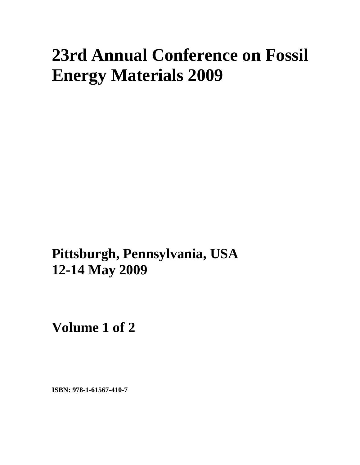# **23rd Annual Conference on Fossil Energy Materials 2009**

**Pittsburgh, Pennsylvania, USA 12-14 May 2009**

**Volume 1 of 2** 

**ISBN: 978-1-61567-410-7**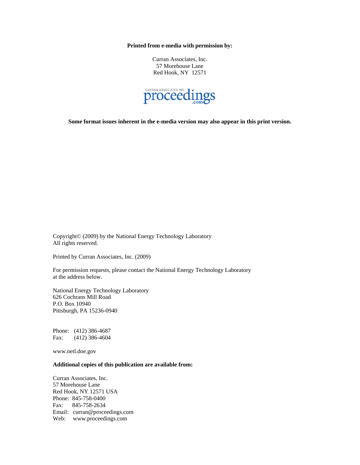**Printed from e-media with permission by:** 

Curran Associates, Inc. 57 Morehouse Lane Red Hook, NY 12571



**Some format issues inherent in the e-media version may also appear in this print version.** 

Copyright© (2009) by the National Energy Technology Laboratory All rights reserved.

Printed by Curran Associates, Inc. (2009)

For permission requests, please contact the National Energy Technology Laboratory at the address below.

National Energy Technology Laboratory 626 Cochrans Mill Road P.O. Box 10940 Pittsburgh, PA 15236-0940

Phone: (412) 386-4687 Fax: (412) 386-4604

www.netl.doe.gov

#### **Additional copies of this publication are available from:**

Curran Associates, Inc. 57 Morehouse Lane Red Hook, NY 12571 USA Phone: 845-758-0400 Fax: 845-758-2634 Email: curran@proceedings.com Web: www.proceedings.com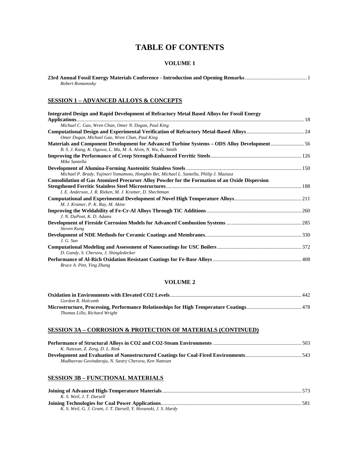# **TABLE OF CONTENTS**

#### **VOLUME 1**

| Robert Romanosky |  |
|------------------|--|

#### **SESSION 1 – ADVANCED ALLOYS & CONCEPTS**

| <b>Integrated Design and Rapid Development of Refractory Metal Based Alloys for Fossil Energy</b>                                                                |  |
|------------------------------------------------------------------------------------------------------------------------------------------------------------------|--|
| Michael C. Gao, Wren Chan, Omer N. Dogan, Paul King                                                                                                              |  |
| Omer Dogan, Michael Gao, Wren Chan, Paul King                                                                                                                    |  |
| Materials and Component Development for Advanced Turbine Systems – ODS Alloy Development56<br>B. S. J. Kang, K. Ogawa, L. Ma, M. A. Alvin, N. Wu, G. Smith       |  |
| Mike Santella                                                                                                                                                    |  |
| Michael P. Brady, Yujinori Yamamoto, Hongbin Bei, Michael L. Santella, Philip J. Maziasz                                                                         |  |
| <b>Consolidation of Gas Atomized Precurser Alloy Powder for the Formation of an Oxide Dispersion</b><br>I. E. Anderson, J. R. Rieken, M. J. Kramer, D. Shechtman |  |
| M. J. Kramer, P. K. Ray, M. Akinc                                                                                                                                |  |
| J. N. DuPont, K. D. Adams                                                                                                                                        |  |
| <b>Steven Kung</b>                                                                                                                                               |  |
| J. G. Sun                                                                                                                                                        |  |
| D. Gandy, S. Cheruvu, J. Shingledecker                                                                                                                           |  |
| Bruce A. Pint, Ying Zhang                                                                                                                                        |  |

#### **VOLUME 2**

|                              | 442 |
|------------------------------|-----|
| Gordon R. Holcomb            |     |
|                              |     |
| Thomas Lillo, Richard Wright |     |

#### **SESSION 3A – CORROSION & PROTECTION OF MATERIALS (CONTINUED)**

| K. Natesan, Z. Zeng, D. L. Rink                       |  |
|-------------------------------------------------------|--|
|                                                       |  |
| Madhavrao Govindaraju, N. Sastry Cheruvu, Ken Natesan |  |

### **SESSION 3B – FUNCTIONAL MATERIALS**

| K. S. Weil. J. T. Darsell                                        |  |
|------------------------------------------------------------------|--|
|                                                                  |  |
| K. S. Weil, G. J. Grant, J. T. Darsell, Y. Hovanski, J. S. Hardy |  |